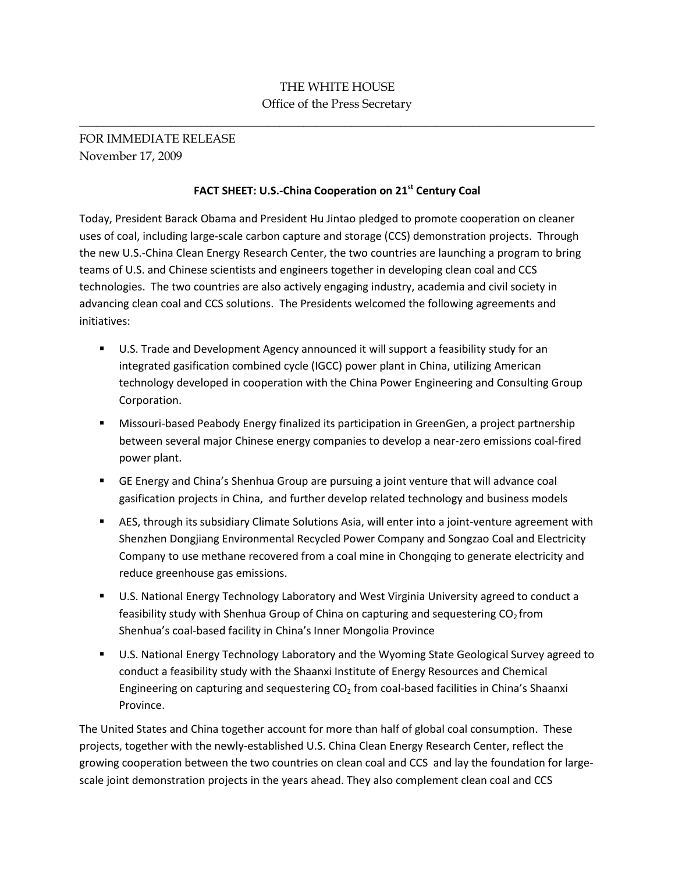## THE WHITE HOUSE Office of the Press Secretary

\_\_\_\_\_\_\_\_\_\_\_\_\_\_\_\_\_\_\_\_\_\_\_\_\_\_\_\_\_\_\_\_\_\_\_\_\_\_\_\_\_\_\_\_\_\_\_\_\_\_\_\_\_\_\_\_\_\_\_\_\_\_\_\_\_\_\_\_\_\_\_\_\_\_\_\_\_\_\_\_\_\_\_\_\_

FOR IMMEDIATE RELEASE November 17, 2009

## **FACT SHEET: U.S.-China Cooperation on 21st Century Coal**

Today, President Barack Obama and President Hu Jintao pledged to promote cooperation on cleaner uses of coal, including large-scale carbon capture and storage (CCS) demonstration projects. Through the new U.S.-China Clean Energy Research Center, the two countries are launching a program to bring teams of U.S. and Chinese scientists and engineers together in developing clean coal and CCS technologies. The two countries are also actively engaging industry, academia and civil society in advancing clean coal and CCS solutions. The Presidents welcomed the following agreements and initiatives:

- **U.S. Trade and Development Agency announced it will support a feasibility study for an** integrated gasification combined cycle (IGCC) power plant in China, utilizing American technology developed in cooperation with the China Power Engineering and Consulting Group Corporation.
- Missouri-based Peabody Energy finalized its participation in GreenGen, a project partnership between several major Chinese energy companies to develop a near-zero emissions coal-fired power plant.
- **EXTENGER** Energy and China's Shenhua Group are pursuing a joint venture that will advance coal gasification projects in China, and further develop related technology and business models
- AES, through its subsidiary Climate Solutions Asia, will enter into a joint-venture agreement with Shenzhen Dongjiang Environmental Recycled Power Company and Songzao Coal and Electricity Company to use methane recovered from a coal mine in Chongqing to generate electricity and reduce greenhouse gas emissions.
- U.S. National Energy Technology Laboratory and West Virginia University agreed to conduct a feasibility study with Shenhua Group of China on capturing and sequestering  $CO<sub>2</sub>$  from Shenhua's coal-based facility in China's Inner Mongolia Province
- U.S. National Energy Technology Laboratory and the Wyoming State Geological Survey agreed to conduct a feasibility study with the Shaanxi Institute of Energy Resources and Chemical Engineering on capturing and sequestering  $CO<sub>2</sub>$  from coal-based facilities in China's Shaanxi Province.

The United States and China together account for more than half of global coal consumption. These projects, together with the newly-established U.S. China Clean Energy Research Center, reflect the growing cooperation between the two countries on clean coal and CCS and lay the foundation for largescale joint demonstration projects in the years ahead. They also complement clean coal and CCS